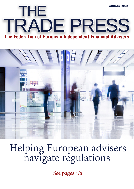## THE TRADE PRESS JANUARY 2022 **The Federation of European Independent Financial Advisers**



# Helping European advisers navigate regulations

**See pages 4/5**